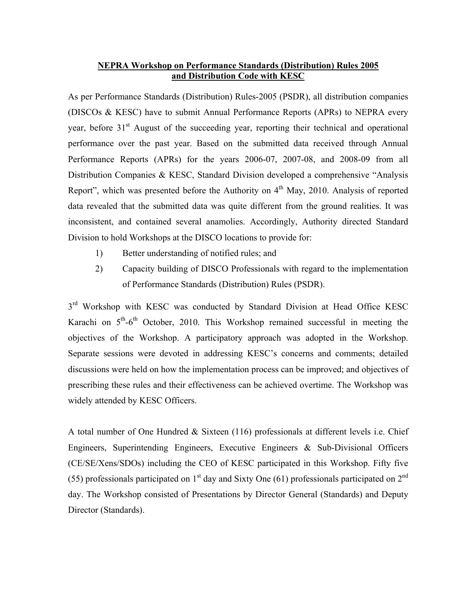## **NEPRA Workshop on Performance Standards (Distribution) Rules 2005 and Distribution Code with KESC**

As per Performance Standards (Distribution) Rules-2005 (PSDR), all distribution companies (DISCOs & KESC) have to submit Annual Performance Reports (APRs) to NEPRA every year, before 31<sup>st</sup> August of the succeeding year, reporting their technical and operational performance over the past year. Based on the submitted data received through Annual Performance Reports (APRs) for the years 2006-07, 2007-08, and 2008-09 from all Distribution Companies & KESC, Standard Division developed a comprehensive "Analysis Report", which was presented before the Authority on  $4<sup>th</sup>$  May, 2010. Analysis of reported data revealed that the submitted data was quite different from the ground realities. It was inconsistent, and contained several anamolies. Accordingly, Authority directed Standard Division to hold Workshops at the DISCO locations to provide for:

- 1) Better understanding of notified rules; and
- 2) Capacity building of DISCO Professionals with regard to the implementation of Performance Standards (Distribution) Rules (PSDR).

 $3<sup>rd</sup>$  Workshop with KESC was conducted by Standard Division at Head Office KESC Karachi on  $5<sup>th</sup>$ -6<sup>th</sup> October, 2010. This Workshop remained successful in meeting the objectives of the Workshop. A participatory approach was adopted in the Workshop. Separate sessions were devoted in addressing KESC's concerns and comments; detailed discussions were held on how the implementation process can be improved; and objectives of prescribing these rules and their effectiveness can be achieved overtime. The Workshop was widely attended by KESC Officers.

A total number of One Hundred & Sixteen (116) professionals at different levels i.e. Chief Engineers, Superintending Engineers, Executive Engineers & Sub-Divisional Officers (CE/SE/Xens/SDOs) including the CEO of KESC participated in this Workshop. Fifty five (55) professionals participated on  $1<sup>st</sup>$  day and Sixty One (61) professionals participated on  $2<sup>nd</sup>$ day. The Workshop consisted of Presentations by Director General (Standards) and Deputy Director (Standards).